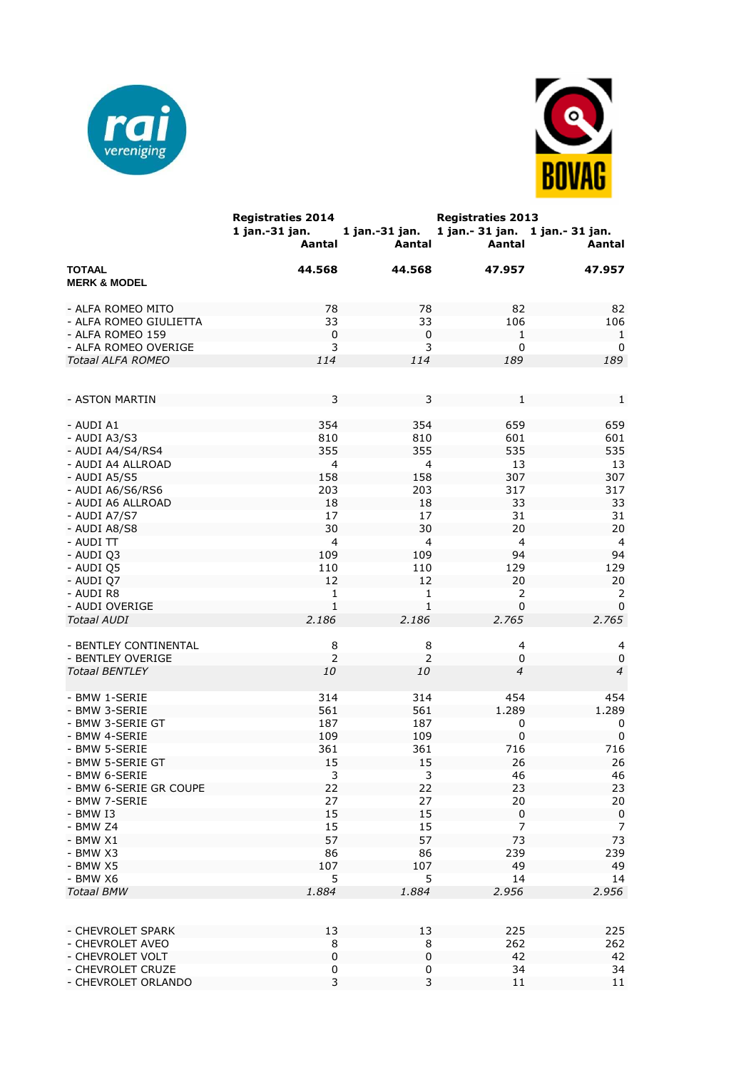



|                                          | <b>Registraties 2014</b><br>1 jan.-31 jan.<br>Aantal | 1 jan.-31 jan.<br>Aantal | <b>Registraties 2013</b><br>1 jan. - 31 jan. 1 jan. - 31 jan.<br>Aantal | Aantal         |
|------------------------------------------|------------------------------------------------------|--------------------------|-------------------------------------------------------------------------|----------------|
| <b>TOTAAL</b><br><b>MERK &amp; MODEL</b> | 44.568                                               | 44.568                   | 47.957                                                                  | 47.957         |
| - ALFA ROMEO MITO                        | 78                                                   | 78                       | 82                                                                      | 82             |
| - ALFA ROMEO GIULIETTA                   | 33                                                   | 33                       | 106                                                                     | 106            |
| - ALFA ROMEO 159                         | $\mathbf 0$                                          | $\mathbf 0$              | 1                                                                       | 1              |
| - ALFA ROMEO OVERIGE                     | 3                                                    | 3                        | 0                                                                       | 0              |
| <b>Totaal ALFA ROMEO</b>                 | 114                                                  | 114                      | 189                                                                     | 189            |
|                                          |                                                      |                          |                                                                         |                |
| - ASTON MARTIN                           | 3                                                    | 3                        | 1                                                                       | 1              |
| - AUDI A1                                | 354                                                  | 354                      | 659                                                                     | 659            |
| - AUDI A3/S3                             | 810                                                  | 810                      | 601                                                                     | 601            |
| - AUDI A4/S4/RS4                         | 355                                                  | 355                      | 535                                                                     | 535            |
| - AUDI A4 ALLROAD                        | 4                                                    | 4                        | 13                                                                      | 13             |
|                                          |                                                      |                          | 307                                                                     | 307            |
| - AUDI A5/S5                             | 158                                                  | 158                      |                                                                         |                |
| - AUDI A6/S6/RS6                         | 203                                                  | 203                      | 317                                                                     | 317            |
| - AUDI A6 ALLROAD                        | 18                                                   | 18                       | 33                                                                      | 33             |
| - AUDI A7/S7                             | 17                                                   | 17                       | 31                                                                      | 31             |
| - AUDI A8/S8                             | 30                                                   | 30                       | 20                                                                      | 20             |
| - AUDI TT                                | 4                                                    | $\overline{4}$           | $\overline{4}$                                                          | $\overline{4}$ |
| - AUDI Q3                                | 109                                                  | 109                      | 94                                                                      | 94             |
| - AUDI Q5                                | 110                                                  | 110                      | 129                                                                     | 129            |
| - AUDI Q7                                | 12                                                   | 12                       | 20                                                                      | 20             |
| - AUDI R8                                | 1                                                    | 1                        | 2                                                                       | 2              |
| - AUDI OVERIGE                           | 1                                                    | $\mathbf{1}$             | 0                                                                       | 0              |
| <b>Totaal AUDI</b>                       | 2.186                                                | 2.186                    | 2.765                                                                   | 2.765          |
| - BENTLEY CONTINENTAL                    | 8                                                    | 8                        | 4                                                                       | 4              |
| - BENTLEY OVERIGE                        | $\overline{2}$                                       | 2                        | 0                                                                       | $\mathbf 0$    |
| <b>Totaal BENTLEY</b>                    | 10                                                   | 10                       | $\overline{4}$                                                          | $\overline{4}$ |
| - BMW 1-SERIE                            | 314                                                  | 314                      | 454                                                                     | 454            |
| - BMW 3-SERIE                            | 561                                                  | 561                      | 1.289                                                                   | 1.289          |
| - BMW 3-SERIE GT                         | 187                                                  | 187                      | 0                                                                       | 0              |
| - BMW 4-SERIE                            | 109                                                  | 109                      | $\pmb{0}$                                                               | $\mathbf 0$    |
| - BMW 5-SERIE                            | 361                                                  | 361                      | 716                                                                     | 716            |
| - BMW 5-SERIE GT                         | 15                                                   | 15                       | 26                                                                      | 26             |
| - BMW 6-SERIE                            | 3                                                    | 3                        | 46                                                                      | 46             |
| - BMW 6-SERIE GR COUPE                   | 22                                                   | 22                       | 23                                                                      | 23             |
| - BMW 7-SERIE                            | 27                                                   | 27                       | 20                                                                      | 20             |
| - BMW I3                                 | 15                                                   | 15                       | $\mathsf 0$                                                             | $\pmb{0}$      |
| - BMW Z4                                 | 15                                                   | 15                       | 7                                                                       | 7              |
| $-$ BMW $X1$                             | 57                                                   | 57                       | 73                                                                      | 73             |
| - BMW X3                                 | 86                                                   | 86                       | 239                                                                     | 239            |
| - BMW X5                                 | 107                                                  | 107                      | 49                                                                      | 49             |
| - BMW X6                                 | 5                                                    | 5                        | 14                                                                      | 14             |
| <b>Totaal BMW</b>                        | 1.884                                                | 1.884                    | 2.956                                                                   | 2.956          |
|                                          |                                                      |                          |                                                                         |                |
| - CHEVROLET SPARK                        | 13                                                   | 13                       | 225                                                                     | 225            |
| - CHEVROLET AVEO                         | 8                                                    | 8                        | 262                                                                     | 262            |
| - CHEVROLET VOLT                         | 0                                                    | $\pmb{0}$                | 42                                                                      | 42             |
| - CHEVROLET CRUZE                        | 0                                                    | 0                        | 34                                                                      | 34             |
| - CHEVROLET ORLANDO                      | 3                                                    | $\overline{3}$           | $11\,$                                                                  | 11             |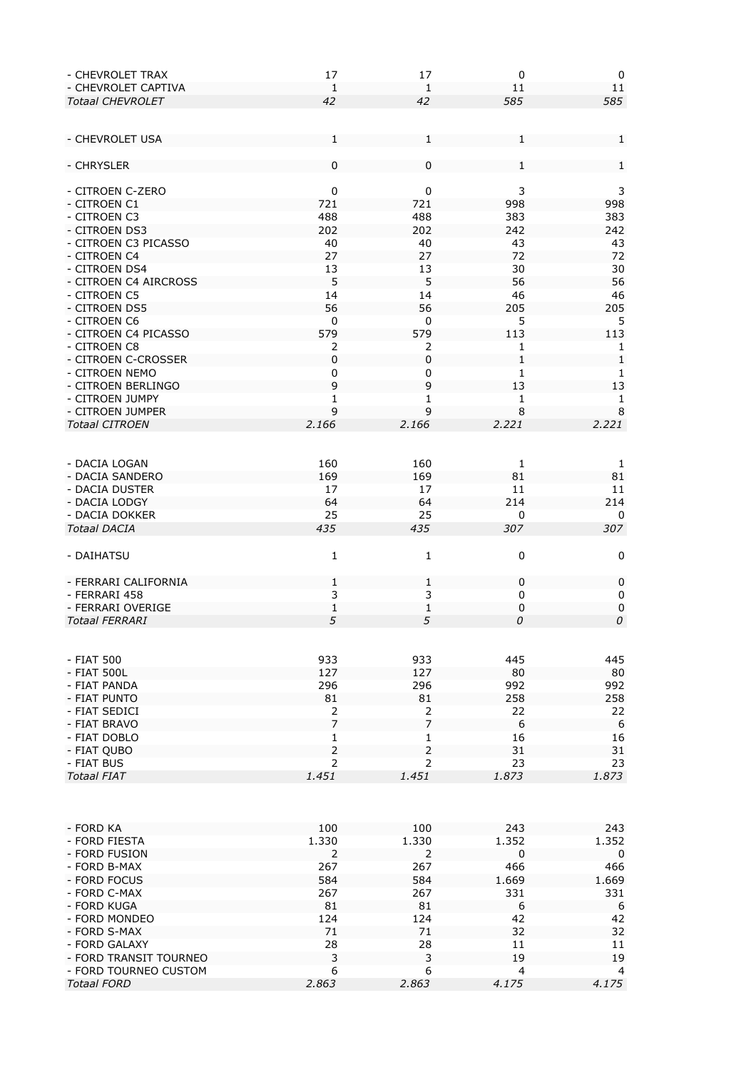| - CHEVROLET TRAX        | 17             | 17             | $\pmb{0}$      | 0              |
|-------------------------|----------------|----------------|----------------|----------------|
| - CHEVROLET CAPTIVA     | 1              | 1              | 11             | 11             |
| <b>Totaal CHEVROLET</b> | 42             | 42             | 585            | 585            |
|                         |                |                |                |                |
|                         |                |                |                |                |
| - CHEVROLET USA         | 1              | 1              | 1              | $\mathbf{1}$   |
|                         |                |                |                |                |
| - CHRYSLER              | 0              | 0              | 1              | 1              |
|                         |                |                |                |                |
| - CITROEN C-ZERO        | $\pmb{0}$      | $\pmb{0}$      | 3              | 3              |
| - CITROEN C1            | 721            | 721            | 998            | 998            |
| - CITROEN C3            | 488            | 488            | 383            | 383            |
| - CITROEN DS3           | 202            | 202            | 242            | 242            |
| - CITROEN C3 PICASSO    | 40             | 40             | 43             | 43             |
|                         |                |                |                |                |
| - CITROEN C4            | 27             | 27             | 72             | 72             |
| - CITROEN DS4           | 13             | 13             | 30             | 30             |
| - CITROEN C4 AIRCROSS   | 5              | 5              | 56             | 56             |
| - CITROEN C5            | 14             | 14             | 46             | 46             |
| - CITROEN DS5           | 56             | 56             | 205            | 205            |
| - CITROEN C6            | 0              | 0              | 5              | 5              |
| - CITROEN C4 PICASSO    | 579            | 579            | 113            | 113            |
| - CITROEN C8            | 2              | 2              | 1              | 1              |
| - CITROEN C-CROSSER     | $\pmb{0}$      | $\mathbf 0$    | 1              | $\mathbf{1}$   |
| - CITROEN NEMO          | $\mathbf 0$    | 0              | $\mathbf{1}$   | $\mathbf{1}$   |
| - CITROEN BERLINGO      | 9              | 9              | 13             | 13             |
| - CITROEN JUMPY         | 1              | 1              | 1              | $\mathbf{1}$   |
| - CITROEN JUMPER        | 9              | 9              | 8              | $\,8\,$        |
| <b>Totaal CITROEN</b>   | 2.166          | 2.166          | 2.221          | 2.221          |
|                         |                |                |                |                |
|                         |                |                |                |                |
|                         |                |                |                |                |
| - DACIA LOGAN           | 160            | 160            | 1              | 1              |
| - DACIA SANDERO         | 169            | 169            | 81             | 81             |
| - DACIA DUSTER          | 17             | 17             | 11             | 11             |
| - DACIA LODGY           | 64             | 64             | 214            | 214            |
| - DACIA DOKKER          | 25             | 25             | 0              | 0              |
| <b>Totaal DACIA</b>     | 435            | 435            | 307            | 307            |
|                         |                |                |                |                |
| - DAIHATSU              | $\mathbf{1}$   | $\mathbf{1}$   | 0              | 0              |
|                         |                |                |                |                |
| - FERRARI CALIFORNIA    | 1              | $\mathbf{1}$   | $\mathbf 0$    | 0              |
| - FERRARI 458           | 3              | 3              | 0              | 0              |
| - FERRARI OVERIGE       | $\mathbf{1}$   | $\mathbf 1$    | $\mathbf 0$    | $\mathbf 0$    |
| <b>Totaal FERRARI</b>   | 5              | 5              | 0              | 0              |
|                         |                |                |                |                |
|                         |                |                |                |                |
|                         |                |                |                |                |
| - FIAT 500              | 933            | 933            | 445            | 445            |
| - FIAT 500L             | 127            | 127            | 80             | 80             |
| - FIAT PANDA            | 296            | 296            | 992            | 992            |
| - FIAT PUNTO            | 81             | 81             | 258            | 258            |
| - FIAT SEDICI           | 2              | 2              | 22             | 22             |
| - FIAT BRAVO            | $\overline{7}$ | $\overline{7}$ | 6              | 6              |
| - FIAT DOBLO            | 1              | 1              | 16             | 16             |
| - FIAT QUBO             | $\overline{2}$ | $\overline{2}$ | 31             | 31             |
| - FIAT BUS              | $\overline{2}$ | $\overline{2}$ | 23             | 23             |
| <b>Totaal FIAT</b>      | 1.451          | 1.451          | 1.873          | 1.873          |
|                         |                |                |                |                |
|                         |                |                |                |                |
|                         |                |                |                |                |
| - FORD KA               | 100            | 100            | 243            | 243            |
| - FORD FIESTA           | 1.330          | 1.330          | 1.352          | 1.352          |
| - FORD FUSION           | 2              | 2              | $\mathbf 0$    | 0              |
| - FORD B-MAX            | 267            | 267            | 466            | 466            |
|                         | 584            |                |                |                |
| - FORD FOCUS            |                | 584            | 1.669          | 1.669          |
| - FORD C-MAX            | 267            | 267            | 331            | 331            |
| - FORD KUGA             | 81             | 81             | 6              | 6              |
| - FORD MONDEO           | 124            | 124            | 42             | 42             |
| - FORD S-MAX            | 71             | 71             | 32             | 32             |
| - FORD GALAXY           | 28             | 28             | 11             | 11             |
| - FORD TRANSIT TOURNEO  | 3              | 3              | 19             | 19             |
| - FORD TOURNEO CUSTOM   | 6              | 6              | $\overline{4}$ | $\overline{4}$ |
| <b>Totaal FORD</b>      | 2.863          | 2.863          | 4.175          | 4.175          |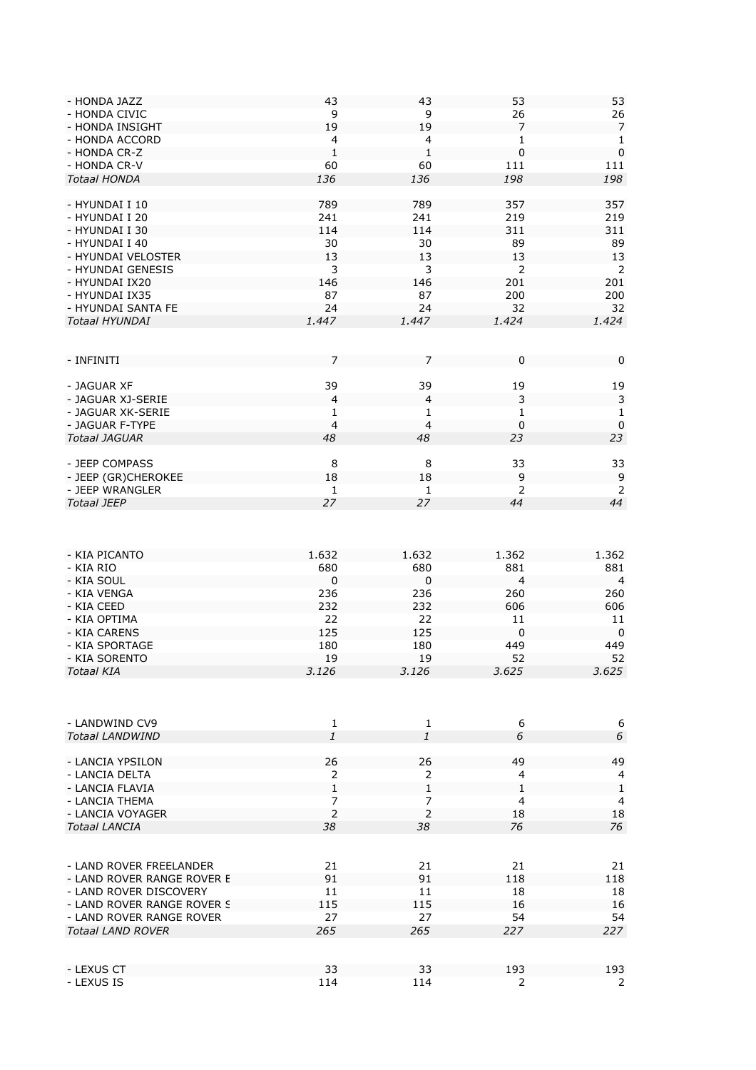| - HONDA JAZZ               | 43             | 43             | 53             | 53             |
|----------------------------|----------------|----------------|----------------|----------------|
| - HONDA CIVIC              | 9              | 9              | 26             | 26             |
| - HONDA INSIGHT            | 19             | 19             | 7              | $\overline{7}$ |
| - HONDA ACCORD             | $\overline{4}$ | 4              | 1              | 1              |
| - HONDA CR-Z               | $\mathbf{1}$   | 1              | $\mathbf 0$    | $\mathbf 0$    |
| - HONDA CR-V               | 60             | 60             | 111            | 111            |
| <b>Totaal HONDA</b>        | 136            | 136            | 198            | 198            |
|                            |                |                |                |                |
|                            |                |                |                |                |
| - HYUNDAI I 10             | 789            | 789            | 357            | 357            |
| - HYUNDAI I 20             | 241            | 241            | 219            | 219            |
| - HYUNDAI I 30             | 114            | 114            | 311            | 311            |
| - HYUNDAI I 40             | 30             | 30             | 89             | 89             |
| - HYUNDAI VELOSTER         | 13             | 13             | 13             | 13             |
| - HYUNDAI GENESIS          | 3              | 3              | 2              | 2              |
| - HYUNDAI IX20             | 146            | 146            | 201            | 201            |
| - HYUNDAI IX35             | 87             | 87             | 200            | 200            |
| - HYUNDAI SANTA FE         | 24             | 24             | 32             | 32             |
| <b>Totaal HYUNDAI</b>      | 1.447          | 1.447          | 1.424          | 1.424          |
|                            |                |                |                |                |
|                            |                |                |                |                |
|                            |                |                |                |                |
| - INFINITI                 | 7              | 7              | 0              | 0              |
|                            |                |                |                |                |
| - JAGUAR XF                | 39             | 39             | 19             | 19             |
| - JAGUAR XJ-SERIE          | $\overline{4}$ | 4              | 3              | 3              |
| - JAGUAR XK-SERIE          | 1              | 1              | 1              | $\mathbf{1}$   |
| - JAGUAR F-TYPE            | $\overline{4}$ | $\overline{4}$ | $\pmb{0}$      | $\mathbf 0$    |
| <b>Totaal JAGUAR</b>       | 48             | 48             | 23             | 23             |
|                            |                |                |                |                |
| - JEEP COMPASS             | 8              | 8              | 33             | 33             |
| - JEEP (GR)CHEROKEE        | 18             | 18             | 9              | 9              |
| - JEEP WRANGLER            | 1              | 1              | 2              | 2              |
| <b>Totaal JEEP</b>         | 27             | 27             | 44             | 44             |
|                            |                |                |                |                |
|                            |                |                |                |                |
|                            |                |                |                |                |
|                            |                |                |                |                |
| - KIA PICANTO              | 1.632          | 1.632          | 1.362          | 1.362          |
| - KIA RIO                  | 680            | 680            | 881            | 881            |
| - KIA SOUL                 | 0              | 0              | $\overline{4}$ | 4              |
| - KIA VENGA                | 236            | 236            | 260            | 260            |
| - KIA CEED                 | 232            | 232            | 606            | 606            |
| - KIA OPTIMA               | 22             | 22             | 11             | 11             |
| - KIA CARENS               | 125            | 125            | $\mathbf 0$    | 0              |
| - KIA SPORTAGE             | 180            | 180            | 449            | 449            |
| - KIA SORENTO              | 19             | 19             | 52             | 52             |
| <b>Totaal KIA</b>          | 3.126          | 3.126          | 3.625          | 3.625          |
|                            |                |                |                |                |
|                            |                |                |                |                |
|                            |                |                |                |                |
|                            |                |                |                |                |
| - LANDWIND CV9             | $\mathbf{1}$   | 1              | 6              | 6              |
| <b>Totaal LANDWIND</b>     | 1              | 1              | 6              | 6              |
|                            |                |                |                |                |
| - LANCIA YPSILON           | 26             | 26             | 49             | 49             |
| - LANCIA DELTA             | 2              | 2              | $\overline{4}$ | 4              |
| - LANCIA FLAVIA            | 1              | 1              | $\mathbf{1}$   | $\,1\,$        |
| - LANCIA THEMA             | 7              | 7              | $\overline{4}$ | 4              |
| - LANCIA VOYAGER           | $\overline{2}$ | $\overline{2}$ | 18             | 18             |
| <b>Totaal LANCIA</b>       |                |                |                | 76             |
|                            | 38             | 38             | 76             |                |
|                            |                |                |                |                |
|                            |                |                |                |                |
| - LAND ROVER FREELANDER    | 21             | 21             | 21             | 21             |
| - LAND ROVER RANGE ROVER E | 91             | 91             | 118            | 118            |
| - LAND ROVER DISCOVERY     | 11             | 11             | 18             | 18             |
| - LAND ROVER RANGE ROVER S | 115            | 115            | 16             | 16             |
| - LAND ROVER RANGE ROVER   | 27             | 27             | 54             | 54             |
| <b>Totaal LAND ROVER</b>   | 265            | 265            | 227            | 227            |
|                            |                |                |                |                |
|                            |                |                |                |                |
| - LEXUS CT                 | 33             | 33             | 193            | 193            |
| - LEXUS IS                 | 114            | 114            | $\overline{2}$ | $\overline{2}$ |
|                            |                |                |                |                |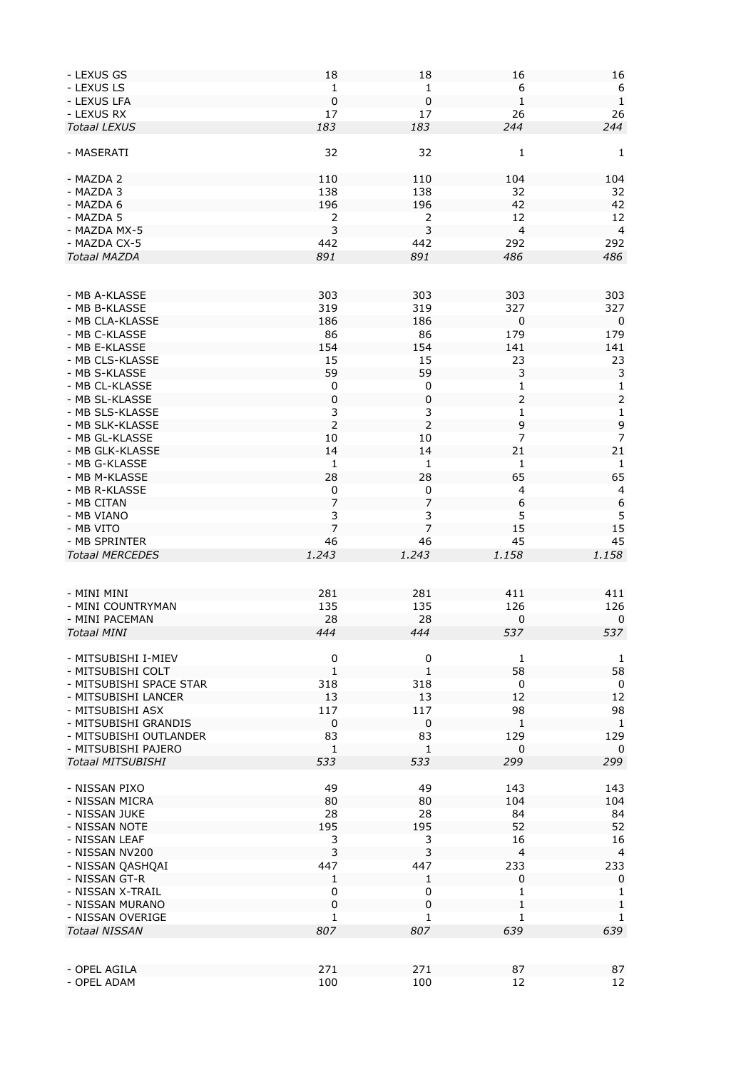| - LEXUS GS                  | 18             | 18             | 16             | 16               |
|-----------------------------|----------------|----------------|----------------|------------------|
| - LEXUS LS                  | 1              | 1              | 6              | 6                |
| - LEXUS LFA                 | $\pmb{0}$      |                | $\mathbf{1}$   | $1\,$            |
|                             |                | 0              |                |                  |
| - LEXUS RX                  | 17             | 17             | 26             | 26               |
| <b>Totaal LEXUS</b>         | 183            | 183            | 244            | 244              |
|                             |                |                |                |                  |
| - MASERATI                  | 32             | 32             | $\mathbf{1}$   | 1                |
|                             |                |                |                |                  |
|                             |                |                |                |                  |
| - MAZDA 2                   | 110            | 110            | 104            | 104              |
| - MAZDA 3                   | 138            | 138            | 32             | 32               |
| - MAZDA 6                   | 196            | 196            | 42             | 42               |
| - MAZDA 5                   | 2              | 2              | 12             | 12               |
|                             |                |                |                |                  |
| - MAZDA MX-5                | 3              | 3              | $\overline{4}$ | $\overline{4}$   |
| - MAZDA CX-5                | 442            | 442            | 292            | 292              |
| <b>Totaal MAZDA</b>         | 891            | 891            | 486            | 486              |
|                             |                |                |                |                  |
|                             |                |                |                |                  |
|                             |                |                |                |                  |
| - MB A-KLASSE               | 303            | 303            | 303            | 303              |
| - MB B-KLASSE               | 319            | 319            | 327            | 327              |
| - MB CLA-KLASSE             | 186            | 186            | 0              | 0                |
| - MB C-KLASSE               | 86             | 86             |                |                  |
|                             |                |                | 179            | 179              |
| - MB E-KLASSE               | 154            | 154            | 141            | 141              |
| - MB CLS-KLASSE             | 15             | 15             | 23             | 23               |
| - MB S-KLASSE               | 59             | 59             | 3              | 3                |
| - MB CL-KLASSE              |                |                |                |                  |
|                             | 0              | 0              | $\mathbf{1}$   | $\mathbf{1}$     |
| - MB SL-KLASSE              | $\pmb{0}$      | $\pmb{0}$      | $\mathbf 2$    | $\mathsf{2}\,$   |
| - MB SLS-KLASSE             | 3              | 3              | 1              | $\mathbf{1}$     |
| - MB SLK-KLASSE             | $\overline{2}$ |                | 9              | 9                |
| - MB GL-KLASSE              | 10             | 10             | 7              | 7                |
|                             |                |                |                |                  |
| - MB GLK-KLASSE             | 14             | 14             | 21             | 21               |
| - MB G-KLASSE               | 1              | 1              | 1              | 1                |
| - MB M-KLASSE               | 28             | 28             | 65             | 65               |
| - MB R-KLASSE               | $\mathbf 0$    | 0              | $\overline{4}$ | 4                |
|                             |                |                |                |                  |
| - MB CITAN                  | 7              | 7              | 6              | $\boldsymbol{6}$ |
| - MB VIANO                  | 3              | 3              | 5              | 5                |
| - MB VITO                   | $\overline{7}$ | $\overline{7}$ | 15             | 15               |
| - MB SPRINTER               | 46             | 46             | 45             | 45               |
|                             |                |                |                |                  |
| <b>Totaal MERCEDES</b>      | 1.243          | 1.243          | 1.158          | 1.158            |
|                             |                |                |                |                  |
|                             |                |                |                |                  |
| - MINI MINI                 | 281            | 281            | 411            | 411              |
| - MINI COUNTRYMAN           | 135            | 135            | 126            | 126              |
|                             |                |                |                |                  |
| - MINI PACEMAN              | 28             | 28             | $\mathbf 0$    | $\mathbf 0$      |
| <b>Totaal MINI</b>          | 444            | 444            | 537            | 537              |
|                             |                |                |                |                  |
| - MITSUBISHI I-MIEV         | 0              | 0              | 1              | 1                |
|                             |                |                |                |                  |
| - MITSUBISHI COLT           | 1              | 1              | 58             | 58               |
| - MITSUBISHI SPACE STAR     | 318            | 318            | 0              | 0                |
| - MITSUBISHI LANCER         | 13             | 13             | 12             | 12               |
| - MITSUBISHI ASX            | 117            | 117            | 98             | 98               |
| - MITSUBISHI GRANDIS        | $\pmb{0}$      | $\mathbf 0$    |                |                  |
|                             |                |                |                |                  |
| - MITSUBISHI OUTLANDER      |                |                | $\mathbf{1}$   | $\mathbf{1}$     |
|                             | 83             | 83             | 129            | 129              |
| - MITSUBISHI PAJERO         | $\mathbf{1}$   | $\mathbf{1}$   | $\mathbf 0$    | $\mathbf 0$      |
|                             |                |                |                |                  |
| <b>Totaal MITSUBISHI</b>    | 533            | 533            | 299            | 299              |
|                             |                |                |                |                  |
| - NISSAN PIXO               | 49             | 49             | 143            | 143              |
| - NISSAN MICRA              | 80             | 80             | 104            | 104              |
| - NISSAN JUKE               | 28             | 28             | 84             | 84               |
|                             |                |                |                |                  |
| - NISSAN NOTE               | 195            | 195            | 52             | 52               |
| - NISSAN LEAF               | 3              | 3              | 16             | 16               |
| - NISSAN NV200              | 3              | 3              | $\overline{4}$ | $\overline{4}$   |
| - NISSAN QASHQAI            | 447            | 447            | 233            | 233              |
| - NISSAN GT-R               | 1              | 1              | 0              | 0                |
|                             |                |                |                |                  |
| - NISSAN X-TRAIL            | 0              | 0              | 1              | 1                |
| - NISSAN MURANO             | $\pmb{0}$      | 0              | $\mathbf{1}$   | $\mathbf{1}$     |
| - NISSAN OVERIGE            | 1              | 1              | 1              | $\mathbf{1}$     |
| <b>Totaal NISSAN</b>        | 807            | 807            | 639            | 639              |
|                             |                |                |                |                  |
|                             |                |                |                |                  |
|                             |                |                |                |                  |
| - OPEL AGILA<br>- OPEL ADAM | 271<br>100     | 271<br>100     | 87<br>12       | 87<br>12         |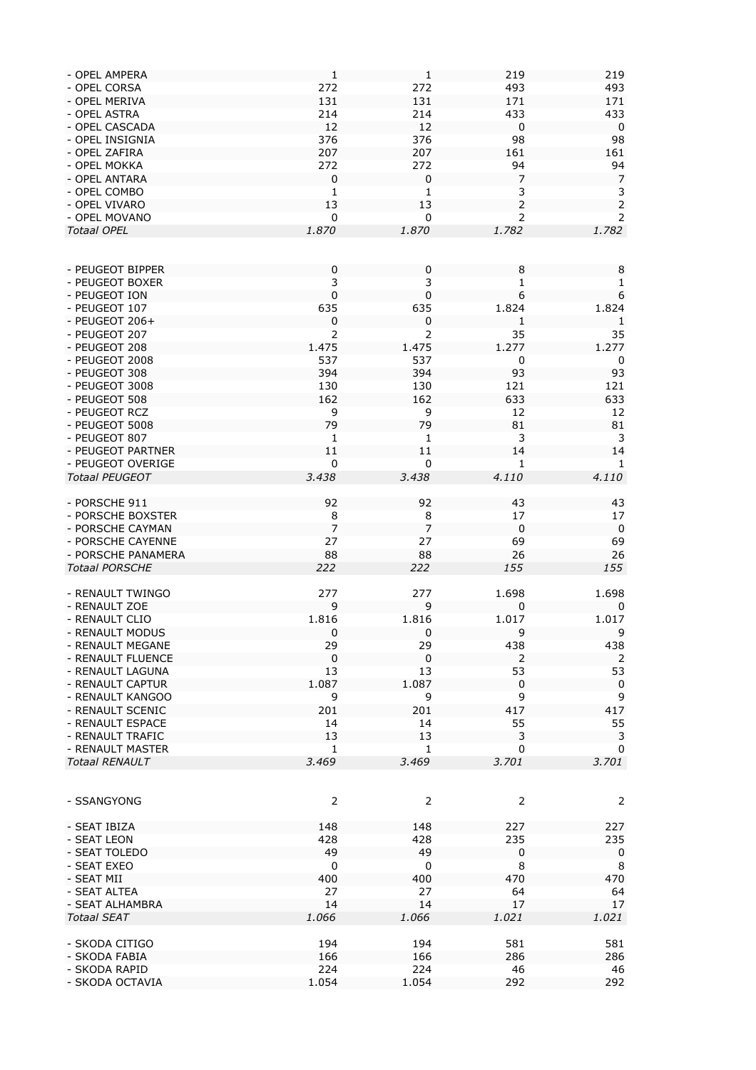| - OPEL AMPERA                    | $\mathbf{1}$ | $\mathbf 1$  | 219              | 219            |
|----------------------------------|--------------|--------------|------------------|----------------|
| - OPEL CORSA                     | 272          | 272          | 493              | 493            |
| - OPEL MERIVA                    | 131          | 131          | 171              | 171            |
|                                  |              |              |                  |                |
| - OPEL ASTRA                     | 214          | 214          | 433              | 433            |
| - OPEL CASCADA                   | 12           | 12           | $\mathbf 0$      | $\mathbf 0$    |
| - OPEL INSIGNIA                  | 376          | 376          | 98               | 98             |
| - OPEL ZAFIRA                    | 207          | 207          | 161              | 161            |
|                                  |              |              |                  |                |
| - OPEL MOKKA                     | 272          | 272          | 94               | 94             |
| - OPEL ANTARA                    | 0            | $\pmb{0}$    | 7                | 7              |
| - OPEL COMBO                     | $\mathbf{1}$ | 1            | 3                | 3              |
| - OPEL VIVARO                    | 13           | 13           | $\overline{2}$   | $\overline{2}$ |
|                                  |              |              |                  |                |
| - OPEL MOVANO                    | 0            | 0            | $\overline{2}$   | 2              |
| <b>Totaal OPEL</b>               | 1.870        | 1.870        | 1.782            | 1.782          |
|                                  |              |              |                  |                |
|                                  |              |              |                  |                |
|                                  |              |              |                  |                |
| - PEUGEOT BIPPER                 | 0            | 0            | 8                | 8              |
| - PEUGEOT BOXER                  | 3            | 3            | 1                | 1              |
| - PEUGEOT ION                    | $\pmb{0}$    | $\mathbf 0$  | $\boldsymbol{6}$ | 6              |
| - PEUGEOT 107                    | 635          | 635          | 1.824            | 1.824          |
|                                  |              |              |                  |                |
| - PEUGEOT $206+$                 | 0            | 0            | 1                | 1              |
| - PEUGEOT 207                    | 2            | 2            | 35               | 35             |
| - PEUGEOT 208                    | 1.475        | 1.475        | 1.277            | 1.277          |
| - PEUGEOT 2008                   | 537          | 537          | $\mathbf 0$      |                |
|                                  |              |              |                  | 0              |
| - PEUGEOT 308                    | 394          | 394          | 93               | 93             |
| - PEUGEOT 3008                   | 130          | 130          | 121              | 121            |
| - PEUGEOT 508                    | 162          | 162          | 633              | 633            |
|                                  |              |              |                  |                |
| - PEUGEOT RCZ                    | 9            | 9            | 12               | 12             |
| - PEUGEOT 5008                   | 79           | 79           | 81               | 81             |
| - PEUGEOT 807                    | $\mathbf{1}$ | $\mathbf{1}$ | 3                | 3              |
| - PEUGEOT PARTNER                | 11           | 11           | 14               | 14             |
|                                  |              |              |                  |                |
| - PEUGEOT OVERIGE                | 0            | 0            | 1                | 1              |
| <b>Totaal PEUGEOT</b>            | 3.438        | 3.438        | 4.110            | 4.110          |
|                                  |              |              |                  |                |
| - PORSCHE 911                    | 92           | 92           | 43               | 43             |
|                                  |              |              |                  |                |
| - PORSCHE BOXSTER                | 8            | 8            | 17               | 17             |
| - PORSCHE CAYMAN                 | 7            | 7            | $\boldsymbol{0}$ | $\overline{0}$ |
| - PORSCHE CAYENNE                | 27           | 27           | 69               | 69             |
|                                  |              |              |                  |                |
| - PORSCHE PANAMERA               | 88           | 88           | 26               | 26             |
| <b>Totaal PORSCHE</b>            | 222          | 222          | 155              | 155            |
|                                  |              |              |                  |                |
| - RENAULT TWINGO                 | 277          | 277          | 1.698            | 1.698          |
|                                  |              |              |                  |                |
| - RENAULT ZOE                    | 9            | 9            | 0                | 0              |
| - RENAULT CLIO                   | 1.816        | 1.816        | 1.017            | 1.017          |
| - RENAULT MODUS                  | 0            | 0            | 9                | 9              |
| - RENAULT MEGANE                 | 29           | 29           | 438              | 438            |
|                                  |              |              |                  |                |
| - RENAULT FLUENCE                | $\mathbf 0$  | $\mathbf 0$  | 2                | 2              |
| - RENAULT LAGUNA                 | 13           | 13           | 53               | 53             |
| - RENAULT CAPTUR                 | 1.087        | 1.087        | $\pmb{0}$        | $\mathbf 0$    |
| - RENAULT KANGOO                 | 9            | 9            | 9                | 9              |
| - RENAULT SCENIC                 |              |              |                  |                |
|                                  | 201          | 201          | 417              | 417            |
| - RENAULT ESPACE                 | 14           | 14           | 55               | 55             |
| - RENAULT TRAFIC                 | 13           | 13           | 3                | 3              |
| - RENAULT MASTER                 | $\mathbf{1}$ | 1            | 0                | 0              |
|                                  |              |              |                  |                |
| <b>Totaal RENAULT</b>            | 3.469        | 3.469        | 3.701            | 3.701          |
|                                  |              |              |                  |                |
|                                  |              |              |                  |                |
| - SSANGYONG                      | 2            | 2            | 2                | $\overline{2}$ |
|                                  |              |              |                  |                |
|                                  |              |              |                  |                |
| - SEAT IBIZA                     | 148          | 148          | 227              | 227            |
| - SEAT LEON                      | 428          | 428          | 235              | 235            |
| - SEAT TOLEDO                    | 49           | 49           | $\mathbf 0$      | 0              |
|                                  |              |              |                  |                |
| - SEAT EXEO                      | 0            | 0            | 8                | 8              |
| - SEAT MII                       | 400          | 400          | 470              | 470            |
| - SEAT ALTEA                     | 27           | 27           | 64               | 64             |
| - SEAT ALHAMBRA                  | 14           | 14           | 17               | 17             |
|                                  |              |              |                  |                |
| <b>Totaal SEAT</b>               | 1.066        | 1.066        | 1.021            | 1.021          |
|                                  |              |              |                  |                |
| - SKODA CITIGO                   | 194          | 194          | 581              | 581            |
| - SKODA FABIA                    |              |              |                  |                |
|                                  |              |              |                  |                |
|                                  | 166          | 166          | 286              | 286            |
| - SKODA RAPID<br>- SKODA OCTAVIA | 224<br>1.054 | 224<br>1.054 | 46<br>292        | 46<br>292      |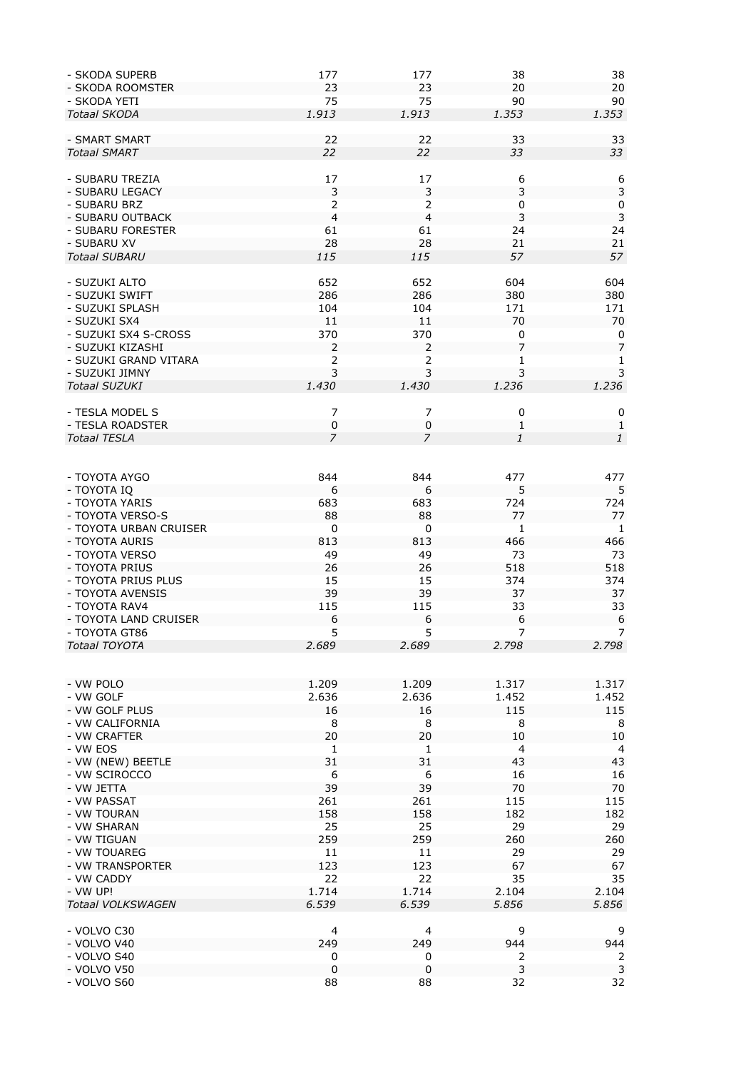| - SKODA SUPERB         | 177            | 177              | 38               | 38               |
|------------------------|----------------|------------------|------------------|------------------|
| - SKODA ROOMSTER       | 23             | 23               | 20               | 20               |
| - SKODA YETI           | 75             | 75               | 90               | 90               |
| <b>Totaal SKODA</b>    | 1.913          | 1.913            | 1.353            | 1.353            |
|                        |                |                  |                  |                  |
| - SMART SMART          | 22             | 22               | 33               | 33               |
| <b>Totaal SMART</b>    | 22             | 22               | 33               | 33               |
|                        |                |                  |                  |                  |
|                        |                |                  |                  |                  |
| - SUBARU TREZIA        | 17             | 17               | 6                | 6                |
| - SUBARU LEGACY        | $\mathsf 3$    | 3                | 3                | $\mathsf 3$      |
| - SUBARU BRZ           | 2              | 2                | 0                | $\pmb{0}$        |
| - SUBARU OUTBACK       | $\overline{a}$ | $\overline{4}$   | 3                | $\mathbf{3}$     |
| - SUBARU FORESTER      | 61             | 61               | 24               | 24               |
| - SUBARU XV            | 28             | 28               | 21               | 21               |
| <b>Totaal SUBARU</b>   | 115            | 115              | 57               | 57               |
|                        |                |                  |                  |                  |
| - SUZUKI ALTO          | 652            | 652              | 604              | 604              |
| - SUZUKI SWIFT         | 286            | 286              | 380              | 380              |
|                        |                |                  |                  |                  |
| - SUZUKI SPLASH        | 104            | 104              | 171              | 171              |
| - SUZUKI SX4           | 11             | 11               | 70               | 70               |
| - SUZUKI SX4 S-CROSS   | 370            | 370              | 0                | 0                |
| - SUZUKI KIZASHI       | 2              | 2                | $\overline{7}$   | $\overline{7}$   |
| - SUZUKI GRAND VITARA  | $\overline{2}$ | $\overline{2}$   | 1                | $\mathbf{1}$     |
| - SUZUKI JIMNY         | 3              | 3                | 3                | 3                |
| <b>Totaal SUZUKI</b>   | 1.430          | 1.430            | 1.236            | 1.236            |
|                        |                |                  |                  |                  |
| - TESLA MODEL S        | 7              | 7                | 0                | $\pmb{0}$        |
| - TESLA ROADSTER       | 0              | $\pmb{0}$        | $\mathbf{1}$     | $\mathbf{1}$     |
|                        |                |                  |                  |                  |
| <b>Totaal TESLA</b>    | $\overline{z}$ | $\overline{7}$   | $\it 1$          | $\mathbf{1}$     |
|                        |                |                  |                  |                  |
|                        |                |                  |                  |                  |
| - TOYOTA AYGO          | 844            | 844              | 477              | 477              |
| - TOYOTA IQ            | 6              | 6                | 5                | 5                |
| - TOYOTA YARIS         | 683            | 683              | 724              | 724              |
| - TOYOTA VERSO-S       | 88             | 88               | 77               | 77               |
| - TOYOTA URBAN CRUISER | $\pmb{0}$      | 0                | $\mathbf{1}$     | 1                |
| - TOYOTA AURIS         | 813            | 813              | 466              | 466              |
| - TOYOTA VERSO         | 49             | 49               | 73               | 73               |
|                        |                |                  |                  |                  |
| - TOYOTA PRIUS         | 26             | 26               | 518              | 518              |
| - TOYOTA PRIUS PLUS    | 15             | 15               | 374              | 374              |
| - TOYOTA AVENSIS       | 39             | 39               | 37               | 37               |
| - TOYOTA RAV4          | 115            | 115              | 33               | 33               |
| - TOYOTA LAND CRUISER  | 6              | $\boldsymbol{6}$ | $\boldsymbol{6}$ | $\boldsymbol{6}$ |
| - TOYOTA GT86          | 5              | 5                | 7                | $\overline{7}$   |
| Totaal TOYOTA          | 2.689          | 2.689            | 2.798            | 2.798            |
|                        |                |                  |                  |                  |
|                        |                |                  |                  |                  |
| - VW POLO              | 1.209          | 1.209            | 1.317            | 1.317            |
| - VW GOLF              | 2.636          | 2.636            | 1.452            | 1.452            |
|                        |                |                  |                  |                  |
| - VW GOLF PLUS         | 16             | 16               | 115              | 115              |
| - VW CALIFORNIA        | 8              | 8                | 8                | 8                |
| - VW CRAFTER           | 20             | 20               | $10$             | $10\,$           |
| - VW EOS               | $\mathbf{1}$   | 1                | 4                | $\overline{4}$   |
| - VW (NEW) BEETLE      | 31             | 31               | 43               | 43               |
| - VW SCIROCCO          | 6              | 6                | 16               | 16               |
| - VW JETTA             | 39             | 39               | 70               | 70               |
| - VW PASSAT            | 261            | 261              | 115              | 115              |
| - VW TOURAN            | 158            | 158              | 182              | 182              |
|                        |                |                  |                  |                  |
| - VW SHARAN            | 25             | 25               | 29               | 29               |
| - VW TIGUAN            | 259            | 259              | 260              | 260              |
| - VW TOUAREG           | 11             | 11               | 29               | 29               |
| - VW TRANSPORTER       | 123            | 123              | 67               | 67               |
| - VW CADDY             | 22             | 22               | 35               | 35               |
| - VW UP!               | 1.714          | 1.714            | 2.104            | 2.104            |
| Totaal VOLKSWAGEN      | 6.539          | 6.539            | 5.856            | 5.856            |
|                        |                |                  |                  |                  |
| - VOLVO C30            | 4              | 4                | 9                | 9                |
|                        |                | 249              | 944              | 944              |
| - VOLVO V40            | 249            |                  |                  |                  |
| - VOLVO S40            | 0              | 0                | 2                | 2                |
| - VOLVO V50            | $\pmb{0}$      | $\mathbf 0$      | 3                | 3                |
| - VOLVO S60            | 88             | 88               | 32               | 32               |